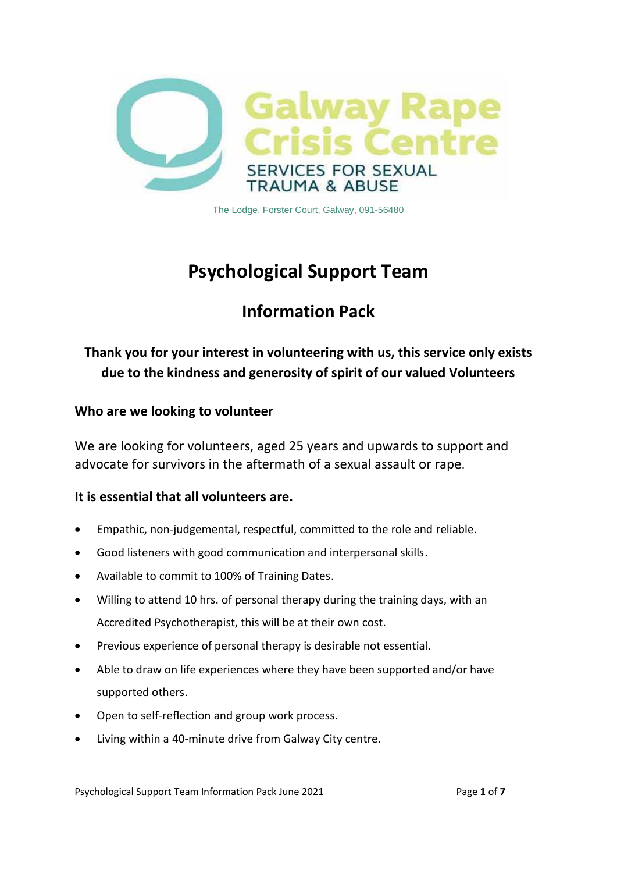

The Lodge, Forster Court, Galway, 091-56480

# **Psychological Support Team**

## **Information Pack**

## **Thank you for your interest in volunteering with us, this service only exists due to the kindness and generosity of spirit of our valued Volunteers**

#### **Who are we looking to volunteer**

We are looking for volunteers, aged 25 years and upwards to support and advocate for survivors in the aftermath of a sexual assault or rape.

#### **It is essential that all volunteers are.**

- Empathic, non-judgemental, respectful, committed to the role and reliable.
- Good listeners with good communication and interpersonal skills.
- Available to commit to 100% of Training Dates.
- Willing to attend 10 hrs. of personal therapy during the training days, with an Accredited Psychotherapist, this will be at their own cost.
- Previous experience of personal therapy is desirable not essential.
- Able to draw on life experiences where they have been supported and/or have supported others.
- Open to self-reflection and group work process.
- Living within a 40-minute drive from Galway City centre.

Psychological Support Team Information Pack June 2021 Page **1** of **7**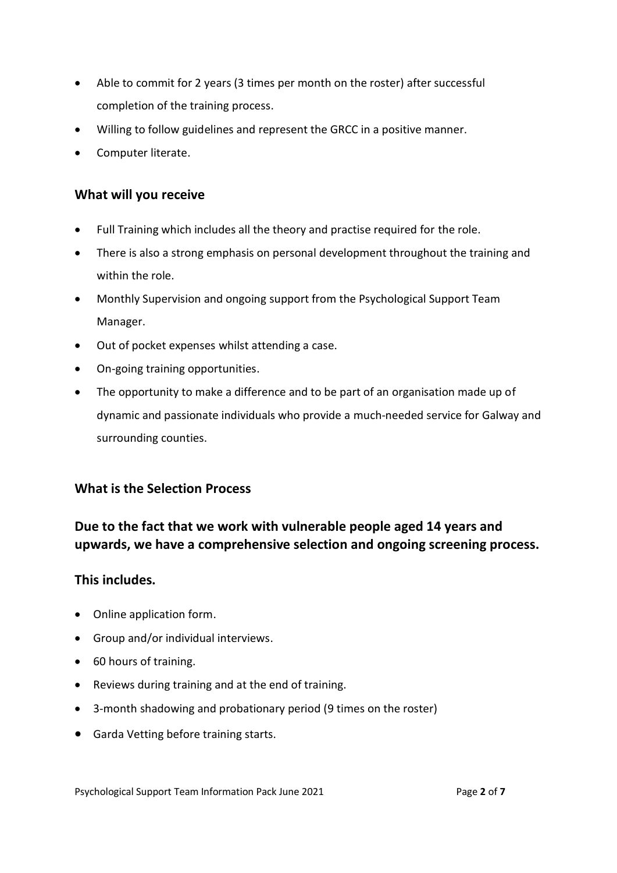- Able to commit for 2 years (3 times per month on the roster) after successful completion of the training process.
- Willing to follow guidelines and represent the GRCC in a positive manner.
- Computer literate.

## **What will you receive**

- Full Training which includes all the theory and practise required for the role.
- There is also a strong emphasis on personal development throughout the training and within the role.
- Monthly Supervision and ongoing support from the Psychological Support Team Manager.
- Out of pocket expenses whilst attending a case.
- On-going training opportunities.
- The opportunity to make a difference and to be part of an organisation made up of dynamic and passionate individuals who provide a much-needed service for Galway and surrounding counties.

#### **What is the Selection Process**

## **Due to the fact that we work with vulnerable people aged 14 years and upwards, we have a comprehensive selection and ongoing screening process.**

#### **This includes.**

- Online application form.
- Group and/or individual interviews.
- 60 hours of training.
- Reviews during training and at the end of training.
- 3-month shadowing and probationary period (9 times on the roster)
- Garda Vetting before training starts.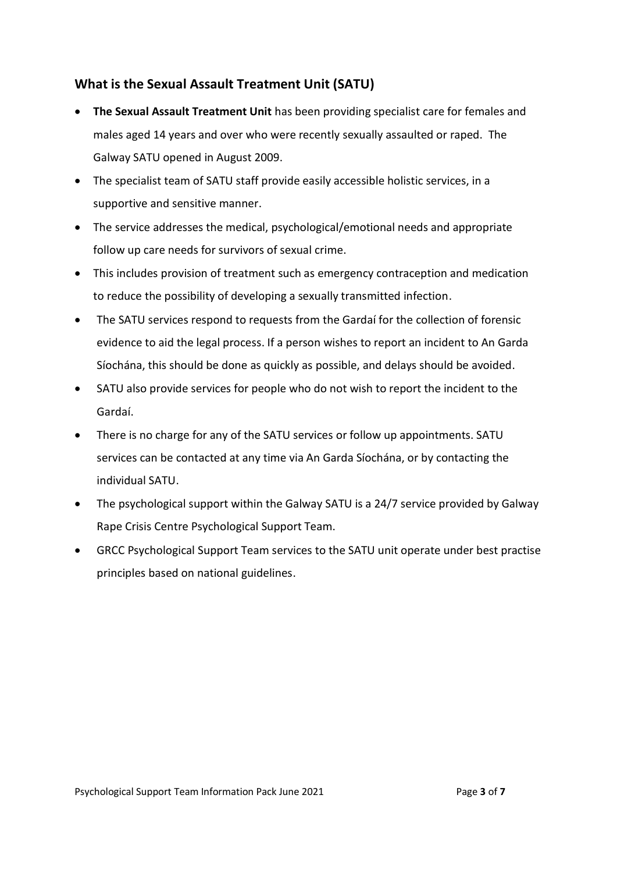## **What is the Sexual Assault Treatment Unit (SATU)**

- **The Sexual Assault Treatment Unit** has been providing specialist care for females and males aged 14 years and over who were recently sexually assaulted or raped. The Galway SATU opened in August 2009.
- The specialist team of SATU staff provide easily accessible holistic services, in a supportive and sensitive manner.
- The service addresses the medical, psychological/emotional needs and appropriate follow up care needs for survivors of sexual crime.
- This includes provision of treatment such as emergency contraception and medication to reduce the possibility of developing a sexually transmitted infection.
- The SATU services respond to requests from the Gardaí for the collection of forensic evidence to aid the legal process. If a person wishes to report an incident to An Garda Síochána, this should be done as quickly as possible, and delays should be avoided.
- SATU also provide services for people who do not wish to report the incident to the Gardaí.
- There is no charge for any of the SATU services or follow up appointments. SATU services can be contacted at any time via An Garda Síochána, or by contacting the individual SATU.
- The psychological support within the Galway SATU is a 24/7 service provided by Galway Rape Crisis Centre Psychological Support Team.
- GRCC Psychological Support Team services to the SATU unit operate under best practise principles based on national guidelines.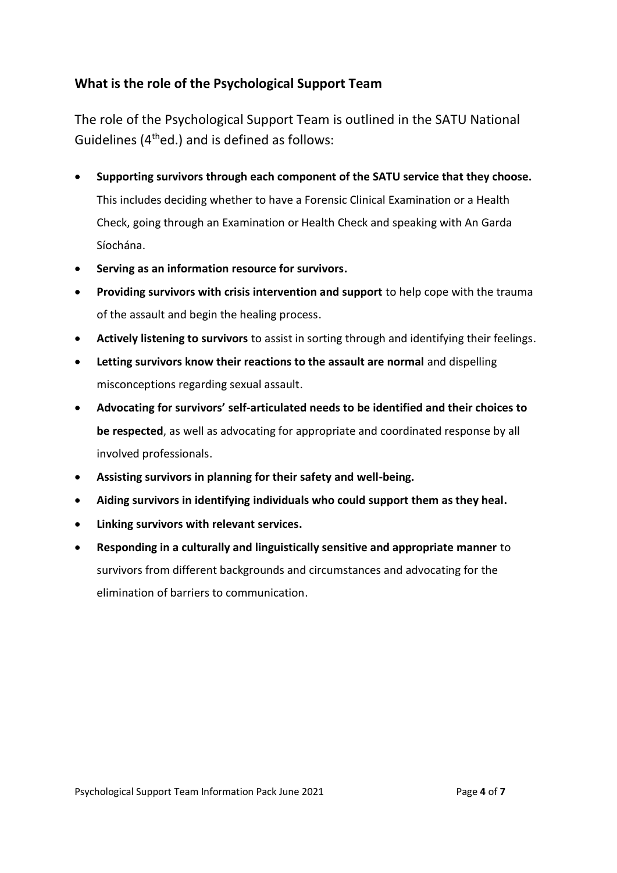## **What is the role of the Psychological Support Team**

The role of the Psychological Support Team is outlined in the SATU National Guidelines (4thed.) and is defined as follows:

- **Supporting survivors through each component of the SATU service that they choose.** This includes deciding whether to have a Forensic Clinical Examination or a Health Check, going through an Examination or Health Check and speaking with An Garda Síochána.
- **Serving as an information resource for survivors.**
- **Providing survivors with crisis intervention and support** to help cope with the trauma of the assault and begin the healing process.
- **Actively listening to survivors** to assist in sorting through and identifying their feelings.
- **Letting survivors know their reactions to the assault are normal** and dispelling misconceptions regarding sexual assault.
- **Advocating for survivors' self-articulated needs to be identified and their choices to be respected**, as well as advocating for appropriate and coordinated response by all involved professionals.
- **Assisting survivors in planning for their safety and well-being.**
- **Aiding survivors in identifying individuals who could support them as they heal.**
- **Linking survivors with relevant services.**
- **Responding in a culturally and linguistically sensitive and appropriate manner** to survivors from different backgrounds and circumstances and advocating for the elimination of barriers to communication.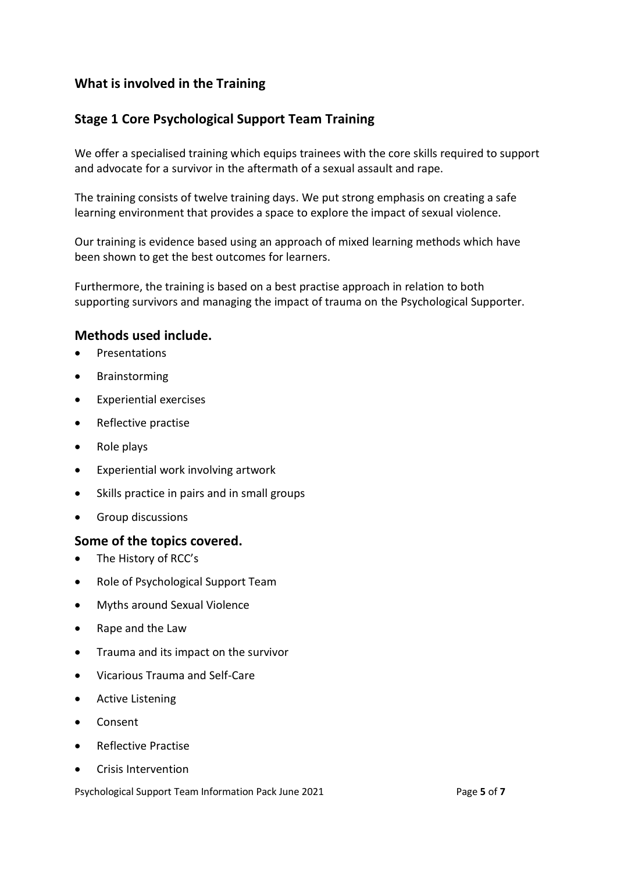## **What is involved in the Training**

## **Stage 1 Core Psychological Support Team Training**

We offer a specialised training which equips trainees with the core skills required to support and advocate for a survivor in the aftermath of a sexual assault and rape.

The training consists of twelve training days. We put strong emphasis on creating a safe learning environment that provides a space to explore the impact of sexual violence.

Our training is evidence based using an approach of mixed learning methods which have been shown to get the best outcomes for learners.

Furthermore, the training is based on a best practise approach in relation to both supporting survivors and managing the impact of trauma on the Psychological Supporter.

#### **Methods used include.**

- Presentations
- Brainstorming
- Experiential exercises
- Reflective practise
- Role plays
- Experiential work involving artwork
- Skills practice in pairs and in small groups
- Group discussions

#### **Some of the topics covered.**

- The History of RCC's
- Role of Psychological Support Team
- Myths around Sexual Violence
- Rape and the Law
- Trauma and its impact on the survivor
- Vicarious Trauma and Self-Care
- Active Listening
- Consent
- Reflective Practise
- Crisis Intervention

Psychological Support Team Information Pack June 2021 Page **5** of **7**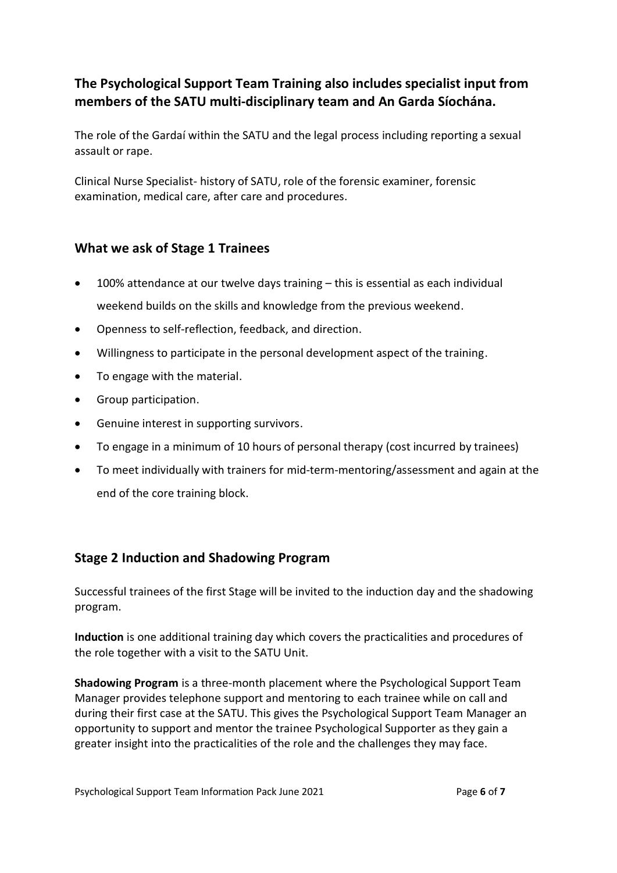## **The Psychological Support Team Training also includes specialist input from members of the SATU multi-disciplinary team and An Garda Síochána.**

The role of the Gardaí within the SATU and the legal process including reporting a sexual assault or rape.

Clinical Nurse Specialist- history of SATU, role of the forensic examiner, forensic examination, medical care, after care and procedures.

#### **What we ask of Stage 1 Trainees**

- 100% attendance at our twelve days training this is essential as each individual weekend builds on the skills and knowledge from the previous weekend.
- Openness to self-reflection, feedback, and direction.
- Willingness to participate in the personal development aspect of the training.
- To engage with the material.
- Group participation.
- Genuine interest in supporting survivors.
- To engage in a minimum of 10 hours of personal therapy (cost incurred by trainees)
- To meet individually with trainers for mid-term-mentoring/assessment and again at the end of the core training block.

## **Stage 2 Induction and Shadowing Program**

Successful trainees of the first Stage will be invited to the induction day and the shadowing program.

**Induction** is one additional training day which covers the practicalities and procedures of the role together with a visit to the SATU Unit.

**Shadowing Program** is a three-month placement where the Psychological Support Team Manager provides telephone support and mentoring to each trainee while on call and during their first case at the SATU. This gives the Psychological Support Team Manager an opportunity to support and mentor the trainee Psychological Supporter as they gain a greater insight into the practicalities of the role and the challenges they may face.